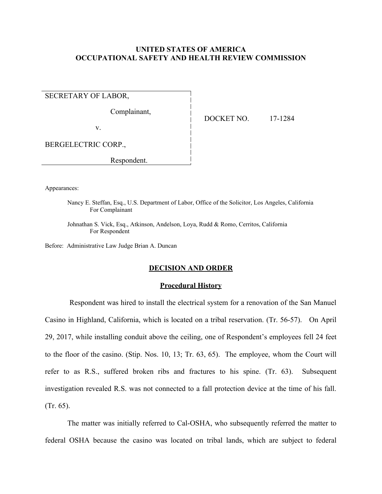# **UNITED STATES OF AMERICA OCCUPATIONAL SAFETY AND HEALTH REVIEW COMMISSION**

SECRETARY OF LABOR,

Complainant,

v.

DOCKET NO. 17-1284

BERGELECTRIC CORP.,

Respondent.

Appearances:

Nancy E. Steffan, Esq., U.S. Department of Labor, Office of the Solicitor, Los Angeles, California For Complainant

Johnathan S. Vick, Esq., Atkinson, Andelson, Loya, Rudd & Romo, Cerritos, California For Respondent

Before: Administrative Law Judge Brian A. Duncan

## **DECISION AND ORDER**

### **Procedural History**

 Respondent was hired to install the electrical system for a renovation of the San Manuel Casino in Highland, California, which is located on a tribal reservation. (Tr. 56-57). On April 29, 2017, while installing conduit above the ceiling, one of Respondent's employees fell 24 feet to the floor of the casino. (Stip. Nos. 10, 13; Tr. 63, 65). The employee, whom the Court will refer to as R.S., suffered broken ribs and fractures to his spine. (Tr. 63). Subsequent investigation revealed R.S. was not connected to a fall protection device at the time of his fall. (Tr. 65).

The matter was initially referred to Cal-OSHA, who subsequently referred the matter to federal OSHA because the casino was located on tribal lands, which are subject to federal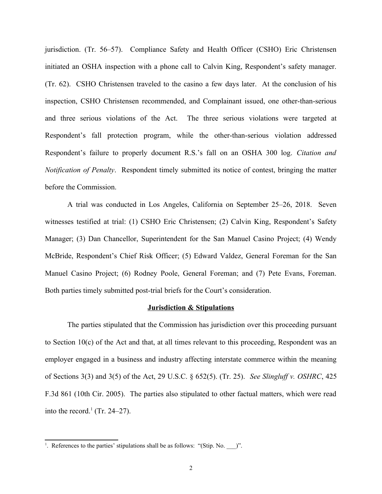jurisdiction. (Tr. 56–57). Compliance Safety and Health Officer (CSHO) Eric Christensen initiated an OSHA inspection with a phone call to Calvin King, Respondent's safety manager. (Tr. 62). CSHO Christensen traveled to the casino a few days later. At the conclusion of his inspection, CSHO Christensen recommended, and Complainant issued, one other-than-serious and three serious violations of the Act. The three serious violations were targeted at Respondent's fall protection program, while the other-than-serious violation addressed Respondent's failure to properly document R.S.'s fall on an OSHA 300 log. *Citation and Notification of Penalty*. Respondent timely submitted its notice of contest, bringing the matter before the Commission.

A trial was conducted in Los Angeles, California on September 25–26, 2018. Seven witnesses testified at trial: (1) CSHO Eric Christensen; (2) Calvin King, Respondent's Safety Manager; (3) Dan Chancellor, Superintendent for the San Manuel Casino Project; (4) Wendy McBride, Respondent's Chief Risk Officer; (5) Edward Valdez, General Foreman for the San Manuel Casino Project; (6) Rodney Poole, General Foreman; and (7) Pete Evans, Foreman. Both parties timely submitted post-trial briefs for the Court's consideration.

### **Jurisdiction & Stipulations**

The parties stipulated that the Commission has jurisdiction over this proceeding pursuant to Section 10(c) of the Act and that, at all times relevant to this proceeding, Respondent was an employer engaged in a business and industry affecting interstate commerce within the meaning of Sections 3(3) and 3(5) of the Act, 29 U.S.C. § 652(5). (Tr. 25). *See Slingluff v. OSHRC*, 425 F.3d 861 (10th Cir. 2005). The parties also stipulated to other factual matters, which were read into the record.<sup>[1](#page-1-0)</sup> (Tr. 24–27).

<span id="page-1-0"></span><sup>&</sup>lt;sup>1</sup>. References to the parties' stipulations shall be as follows: "(Stip. No.  $\Box$ )".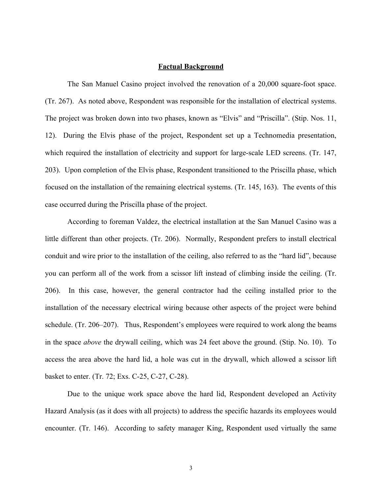# **Factual Background**

The San Manuel Casino project involved the renovation of a 20,000 square-foot space. (Tr. 267). As noted above, Respondent was responsible for the installation of electrical systems. The project was broken down into two phases, known as "Elvis" and "Priscilla". (Stip. Nos. 11, 12). During the Elvis phase of the project, Respondent set up a Technomedia presentation, which required the installation of electricity and support for large-scale LED screens. (Tr. 147, 203). Upon completion of the Elvis phase, Respondent transitioned to the Priscilla phase, which focused on the installation of the remaining electrical systems. (Tr. 145, 163). The events of this case occurred during the Priscilla phase of the project.

According to foreman Valdez, the electrical installation at the San Manuel Casino was a little different than other projects. (Tr. 206). Normally, Respondent prefers to install electrical conduit and wire prior to the installation of the ceiling, also referred to as the "hard lid", because you can perform all of the work from a scissor lift instead of climbing inside the ceiling. (Tr. 206). In this case, however, the general contractor had the ceiling installed prior to the installation of the necessary electrical wiring because other aspects of the project were behind schedule. (Tr. 206–207). Thus, Respondent's employees were required to work along the beams in the space *above* the drywall ceiling, which was 24 feet above the ground. (Stip. No. 10). To access the area above the hard lid, a hole was cut in the drywall, which allowed a scissor lift basket to enter. (Tr. 72; Exs. C-25, C-27, C-28).

Due to the unique work space above the hard lid, Respondent developed an Activity Hazard Analysis (as it does with all projects) to address the specific hazards its employees would encounter. (Tr. 146). According to safety manager King, Respondent used virtually the same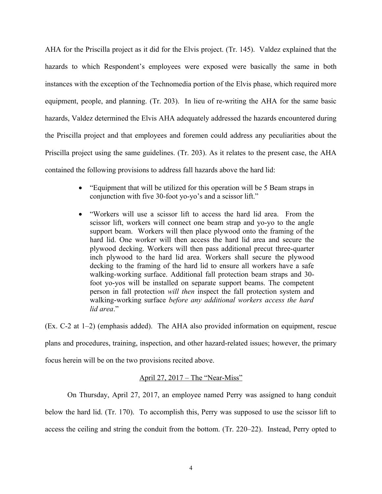AHA for the Priscilla project as it did for the Elvis project. (Tr. 145). Valdez explained that the hazards to which Respondent's employees were exposed were basically the same in both instances with the exception of the Technomedia portion of the Elvis phase, which required more equipment, people, and planning. (Tr. 203). In lieu of re-writing the AHA for the same basic hazards, Valdez determined the Elvis AHA adequately addressed the hazards encountered during the Priscilla project and that employees and foremen could address any peculiarities about the Priscilla project using the same guidelines. (Tr. 203). As it relates to the present case, the AHA contained the following provisions to address fall hazards above the hard lid:

- "Equipment that will be utilized for this operation will be 5 Beam straps in conjunction with five 30-foot yo-yo's and a scissor lift."
- "Workers will use a scissor lift to access the hard lid area. From the scissor lift, workers will connect one beam strap and yo-yo to the angle support beam. Workers will then place plywood onto the framing of the hard lid. One worker will then access the hard lid area and secure the plywood decking. Workers will then pass additional precut three-quarter inch plywood to the hard lid area. Workers shall secure the plywood decking to the framing of the hard lid to ensure all workers have a safe walking-working surface. Additional fall protection beam straps and 30 foot yo-yos will be installed on separate support beams. The competent person in fall protection *will then* inspect the fall protection system and walking-working surface *before any additional workers access the hard lid area*."

(Ex. C-2 at 1–2) (emphasis added). The AHA also provided information on equipment, rescue plans and procedures, training, inspection, and other hazard-related issues; however, the primary focus herein will be on the two provisions recited above.

# April 27, 2017 – The "Near-Miss"

On Thursday, April 27, 2017, an employee named Perry was assigned to hang conduit below the hard lid. (Tr. 170). To accomplish this, Perry was supposed to use the scissor lift to access the ceiling and string the conduit from the bottom. (Tr. 220–22). Instead, Perry opted to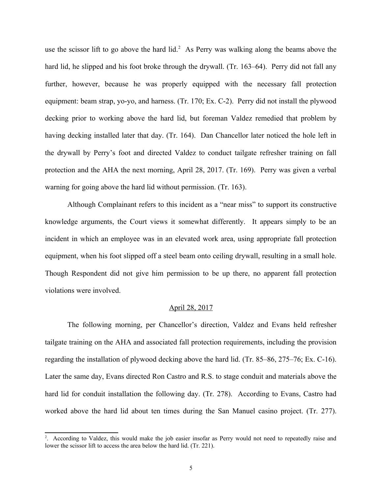use the scissor lift to go above the hard lid.<sup>[2](#page-4-0)</sup> As Perry was walking along the beams above the hard lid, he slipped and his foot broke through the drywall. (Tr. 163–64). Perry did not fall any further, however, because he was properly equipped with the necessary fall protection equipment: beam strap, yo-yo, and harness. (Tr. 170; Ex. C-2). Perry did not install the plywood decking prior to working above the hard lid, but foreman Valdez remedied that problem by having decking installed later that day. (Tr. 164). Dan Chancellor later noticed the hole left in the drywall by Perry's foot and directed Valdez to conduct tailgate refresher training on fall protection and the AHA the next morning, April 28, 2017. (Tr. 169). Perry was given a verbal warning for going above the hard lid without permission. (Tr. 163).

Although Complainant refers to this incident as a "near miss" to support its constructive knowledge arguments, the Court views it somewhat differently. It appears simply to be an incident in which an employee was in an elevated work area, using appropriate fall protection equipment, when his foot slipped off a steel beam onto ceiling drywall, resulting in a small hole. Though Respondent did not give him permission to be up there, no apparent fall protection violations were involved.

### April 28, 2017

The following morning, per Chancellor's direction, Valdez and Evans held refresher tailgate training on the AHA and associated fall protection requirements, including the provision regarding the installation of plywood decking above the hard lid. (Tr. 85–86, 275–76; Ex. C-16). Later the same day, Evans directed Ron Castro and R.S. to stage conduit and materials above the hard lid for conduit installation the following day. (Tr. 278). According to Evans, Castro had worked above the hard lid about ten times during the San Manuel casino project. (Tr. 277).

<span id="page-4-0"></span><sup>2</sup> . According to Valdez, this would make the job easier insofar as Perry would not need to repeatedly raise and lower the scissor lift to access the area below the hard lid. (Tr. 221).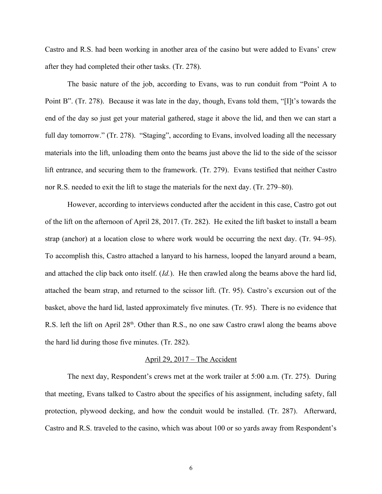Castro and R.S. had been working in another area of the casino but were added to Evans' crew after they had completed their other tasks. (Tr. 278).

The basic nature of the job, according to Evans, was to run conduit from "Point A to Point B". (Tr. 278). Because it was late in the day, though, Evans told them, "[I]t's towards the end of the day so just get your material gathered, stage it above the lid, and then we can start a full day tomorrow." (Tr. 278). "Staging", according to Evans, involved loading all the necessary materials into the lift, unloading them onto the beams just above the lid to the side of the scissor lift entrance, and securing them to the framework. (Tr. 279). Evans testified that neither Castro nor R.S. needed to exit the lift to stage the materials for the next day. (Tr. 279–80).

However, according to interviews conducted after the accident in this case, Castro got out of the lift on the afternoon of April 28, 2017. (Tr. 282). He exited the lift basket to install a beam strap (anchor) at a location close to where work would be occurring the next day. (Tr. 94–95). To accomplish this, Castro attached a lanyard to his harness, looped the lanyard around a beam, and attached the clip back onto itself. (*Id.*). He then crawled along the beams above the hard lid, attached the beam strap, and returned to the scissor lift. (Tr. 95). Castro's excursion out of the basket, above the hard lid, lasted approximately five minutes. (Tr. 95). There is no evidence that R.S. left the lift on April  $28<sup>th</sup>$ . Other than R.S., no one saw Castro crawl along the beams above the hard lid during those five minutes. (Tr. 282).

#### April 29, 2017 – The Accident

The next day, Respondent's crews met at the work trailer at 5:00 a.m. (Tr. 275). During that meeting, Evans talked to Castro about the specifics of his assignment, including safety, fall protection, plywood decking, and how the conduit would be installed. (Tr. 287). Afterward, Castro and R.S. traveled to the casino, which was about 100 or so yards away from Respondent's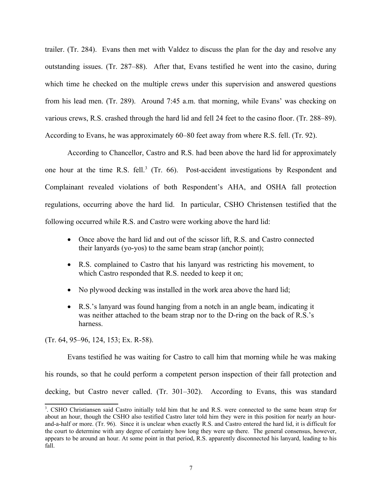trailer. (Tr. 284). Evans then met with Valdez to discuss the plan for the day and resolve any outstanding issues. (Tr. 287–88). After that, Evans testified he went into the casino, during which time he checked on the multiple crews under this supervision and answered questions from his lead men. (Tr. 289). Around 7:45 a.m. that morning, while Evans' was checking on various crews, R.S. crashed through the hard lid and fell 24 feet to the casino floor. (Tr. 288–89). According to Evans, he was approximately 60–80 feet away from where R.S. fell. (Tr. 92).

According to Chancellor, Castro and R.S. had been above the hard lid for approximately one hour at the time R.S. fell.<sup>[3](#page-6-0)</sup> (Tr. 66). Post-accident investigations by Respondent and Complainant revealed violations of both Respondent's AHA, and OSHA fall protection regulations, occurring above the hard lid. In particular, CSHO Christensen testified that the following occurred while R.S. and Castro were working above the hard lid:

- Once above the hard lid and out of the scissor lift, R.S. and Castro connected their lanyards (yo-yos) to the same beam strap (anchor point);
- R.S. complained to Castro that his lanyard was restricting his movement, to which Castro responded that R.S. needed to keep it on;
- No plywood decking was installed in the work area above the hard lid;
- R.S.'s lanyard was found hanging from a notch in an angle beam, indicating it was neither attached to the beam strap nor to the D-ring on the back of R.S.'s harness.

(Tr. 64, 95–96, 124, 153; Ex. R-58).

Evans testified he was waiting for Castro to call him that morning while he was making his rounds, so that he could perform a competent person inspection of their fall protection and decking, but Castro never called. (Tr. 301–302). According to Evans, this was standard

<span id="page-6-0"></span><sup>3</sup> . CSHO Christiansen said Castro initially told him that he and R.S. were connected to the same beam strap for about an hour, though the CSHO also testified Castro later told him they were in this position for nearly an hourand-a-half or more. (Tr. 96). Since it is unclear when exactly R.S. and Castro entered the hard lid, it is difficult for the court to determine with any degree of certainty how long they were up there. The general consensus, however, appears to be around an hour. At some point in that period, R.S. apparently disconnected his lanyard, leading to his fall.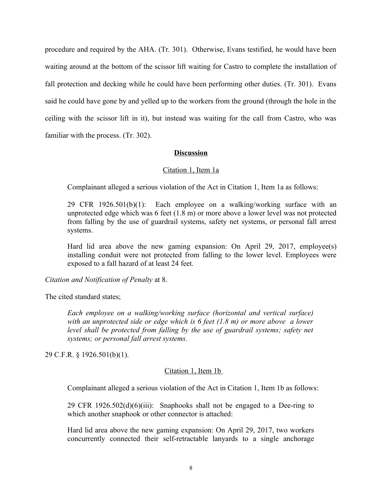procedure and required by the AHA. (Tr. 301). Otherwise, Evans testified, he would have been waiting around at the bottom of the scissor lift waiting for Castro to complete the installation of fall protection and decking while he could have been performing other duties. (Tr. 301). Evans said he could have gone by and yelled up to the workers from the ground (through the hole in the ceiling with the scissor lift in it), but instead was waiting for the call from Castro, who was familiar with the process. (Tr. 302).

# **Discussion**

## Citation 1, Item 1a

Complainant alleged a serious violation of the Act in Citation 1, Item 1a as follows:

29 CFR 1926.501(b)(1): Each employee on a walking/working surface with an unprotected edge which was 6 feet (1.8 m) or more above a lower level was not protected from falling by the use of guardrail systems, safety net systems, or personal fall arrest systems.

Hard lid area above the new gaming expansion: On April 29, 2017, employee(s) installing conduit were not protected from falling to the lower level. Employees were exposed to a fall hazard of at least 24 feet.

*Citation and Notification of Penalty* at 8.

The cited standard states;

*Each employee on a walking/working surface (horizontal and vertical surface) with an unprotected side or edge which is 6 feet (1.8 m) or more above a lower level shall be protected from falling by the use of guardrail systems; safety net systems; or personal fall arrest systems.*

29 C.F.R. § 1926.501(b)(1).

## Citation 1, Item 1b

Complainant alleged a serious violation of the Act in Citation 1, Item 1b as follows:

29 CFR 1926.502(d)(6)(iii): Snaphooks shall not be engaged to a Dee-ring to which another snaphook or other connector is attached:

Hard lid area above the new gaming expansion: On April 29, 2017, two workers concurrently connected their self-retractable lanyards to a single anchorage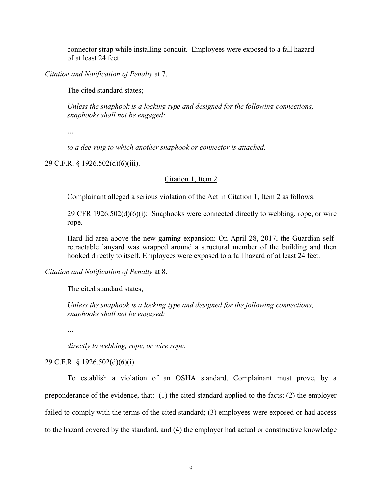connector strap while installing conduit. Employees were exposed to a fall hazard of at least 24 feet.

*Citation and Notification of Penalty* at 7.

The cited standard states;

*Unless the snaphook is a locking type and designed for the following connections, snaphooks shall not be engaged:* 

*…*

*to a dee-ring to which another snaphook or connector is attached.*

29 C.F.R. § 1926.502(d)(6)(iii).

## Citation 1, Item 2

Complainant alleged a serious violation of the Act in Citation 1, Item 2 as follows:

29 CFR  $1926.502(d)(6)(i)$ : Snaphooks were connected directly to webbing, rope, or wire rope.

Hard lid area above the new gaming expansion: On April 28, 2017, the Guardian selfretractable lanyard was wrapped around a structural member of the building and then hooked directly to itself. Employees were exposed to a fall hazard of at least 24 feet.

# *Citation and Notification of Penalty* at 8.

The cited standard states;

*Unless the snaphook is a locking type and designed for the following connections, snaphooks shall not be engaged:* 

*…*

*directly to webbing, rope, or wire rope.*

29 C.F.R. § 1926.502(d)(6)(i).

To establish a violation of an OSHA standard, Complainant must prove, by a preponderance of the evidence, that: (1) the cited standard applied to the facts; (2) the employer failed to comply with the terms of the cited standard; (3) employees were exposed or had access to the hazard covered by the standard, and (4) the employer had actual or constructive knowledge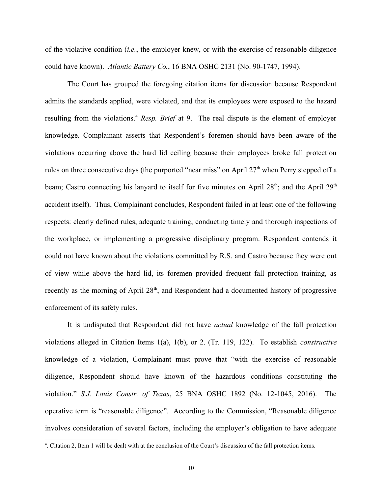of the violative condition (*i.e.*, the employer knew, or with the exercise of reasonable diligence could have known). *Atlantic Battery Co.*, 16 BNA OSHC 2131 (No. 90-1747, 1994).

The Court has grouped the foregoing citation items for discussion because Respondent admits the standards applied, were violated, and that its employees were exposed to the hazard resulting from the violations.<sup>[4](#page-9-0)</sup> *Resp. Brief* at 9. The real dispute is the element of employer knowledge. Complainant asserts that Respondent's foremen should have been aware of the violations occurring above the hard lid ceiling because their employees broke fall protection rules on three consecutive days (the purported "near miss" on April  $27<sup>th</sup>$  when Perry stepped off a beam; Castro connecting his lanyard to itself for five minutes on April  $28<sup>th</sup>$ ; and the April  $29<sup>th</sup>$ accident itself). Thus, Complainant concludes, Respondent failed in at least one of the following respects: clearly defined rules, adequate training, conducting timely and thorough inspections of the workplace, or implementing a progressive disciplinary program. Respondent contends it could not have known about the violations committed by R.S. and Castro because they were out of view while above the hard lid, its foremen provided frequent fall protection training, as recently as the morning of April  $28<sup>th</sup>$ , and Respondent had a documented history of progressive enforcement of its safety rules.

It is undisputed that Respondent did not have *actual* knowledge of the fall protection violations alleged in Citation Items 1(a), 1(b), or 2. (Tr. 119, 122). To establish *constructive* knowledge of a violation, Complainant must prove that "with the exercise of reasonable diligence, Respondent should have known of the hazardous conditions constituting the violation." *S.J. Louis Constr. of Texas*, 25 BNA OSHC 1892 (No. 12-1045, 2016). The operative term is "reasonable diligence". According to the Commission, "Reasonable diligence involves consideration of several factors, including the employer's obligation to have adequate

<span id="page-9-0"></span><sup>4</sup> . Citation 2, Item 1 will be dealt with at the conclusion of the Court's discussion of the fall protection items.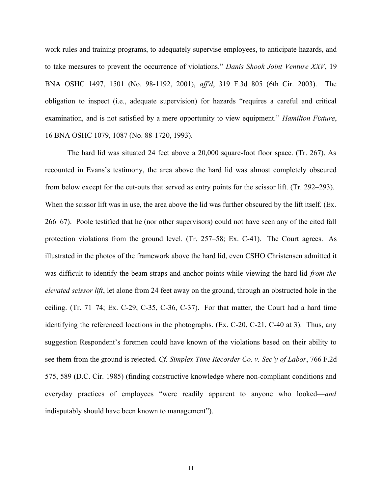work rules and training programs, to adequately supervise employees, to anticipate hazards, and to take measures to prevent the occurrence of violations." *Danis Shook Joint Venture XXV*, 19 BNA OSHC 1497, 1501 (No. 98-1192, 2001), *aff'd*, 319 F.3d 805 (6th Cir. 2003). The obligation to inspect (i.e., adequate supervision) for hazards "requires a careful and critical examination, and is not satisfied by a mere opportunity to view equipment." *Hamilton Fixture*, 16 BNA OSHC 1079, 1087 (No. 88-1720, 1993).

The hard lid was situated 24 feet above a 20,000 square-foot floor space. (Tr. 267). As recounted in Evans's testimony, the area above the hard lid was almost completely obscured from below except for the cut-outs that served as entry points for the scissor lift. (Tr. 292–293). When the scissor lift was in use, the area above the lid was further obscured by the lift itself. (Ex. 266–67). Poole testified that he (nor other supervisors) could not have seen any of the cited fall protection violations from the ground level. (Tr. 257–58; Ex. C-41). The Court agrees. As illustrated in the photos of the framework above the hard lid, even CSHO Christensen admitted it was difficult to identify the beam straps and anchor points while viewing the hard lid *from the elevated scissor lift*, let alone from 24 feet away on the ground, through an obstructed hole in the ceiling. (Tr. 71–74; Ex. C-29, C-35, C-36, C-37). For that matter, the Court had a hard time identifying the referenced locations in the photographs. (Ex. C-20, C-21, C-40 at 3). Thus, any suggestion Respondent's foremen could have known of the violations based on their ability to see them from the ground is rejected. *Cf. Simplex Time Recorder Co. v. Sec'y of Labor*, 766 F.2d 575, 589 (D.C. Cir. 1985) (finding constructive knowledge where non-compliant conditions and everyday practices of employees "were readily apparent to anyone who looked—*and* indisputably should have been known to management").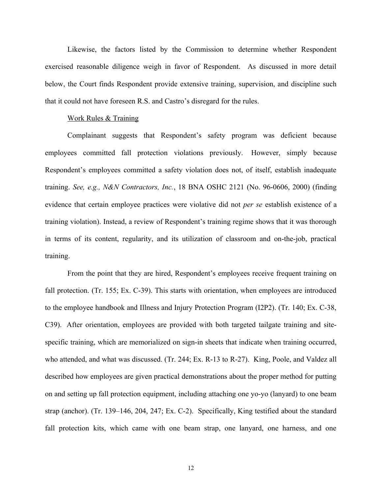Likewise, the factors listed by the Commission to determine whether Respondent exercised reasonable diligence weigh in favor of Respondent. As discussed in more detail below, the Court finds Respondent provide extensive training, supervision, and discipline such that it could not have foreseen R.S. and Castro's disregard for the rules.

# Work Rules & Training

Complainant suggests that Respondent's safety program was deficient because employees committed fall protection violations previously. However, simply because Respondent's employees committed a safety violation does not, of itself, establish inadequate training. *See, e.g., N&N Contractors, Inc.*, 18 BNA OSHC 2121 (No. 96-0606, 2000) (finding evidence that certain employee practices were violative did not *per se* establish existence of a training violation). Instead, a review of Respondent's training regime shows that it was thorough in terms of its content, regularity, and its utilization of classroom and on-the-job, practical training.

From the point that they are hired, Respondent's employees receive frequent training on fall protection. (Tr. 155; Ex. C-39). This starts with orientation, when employees are introduced to the employee handbook and Illness and Injury Protection Program (I2P2). (Tr. 140; Ex. C-38, C39). After orientation, employees are provided with both targeted tailgate training and sitespecific training, which are memorialized on sign-in sheets that indicate when training occurred, who attended, and what was discussed. (Tr. 244; Ex. R-13 to R-27). King, Poole, and Valdez all described how employees are given practical demonstrations about the proper method for putting on and setting up fall protection equipment, including attaching one yo-yo (lanyard) to one beam strap (anchor). (Tr. 139–146, 204, 247; Ex. C-2). Specifically, King testified about the standard fall protection kits, which came with one beam strap, one lanyard, one harness, and one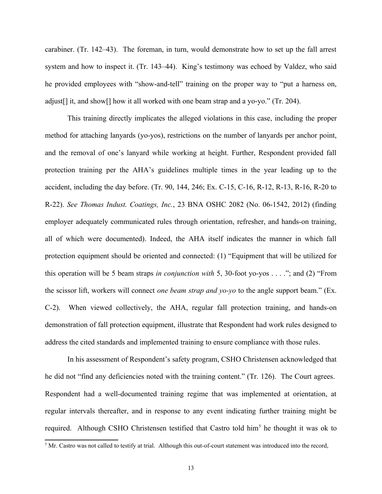carabiner. (Tr. 142–43). The foreman, in turn, would demonstrate how to set up the fall arrest system and how to inspect it. (Tr. 143–44). King's testimony was echoed by Valdez, who said he provided employees with "show-and-tell" training on the proper way to "put a harness on, adjust[] it, and show[] how it all worked with one beam strap and a yo-yo." (Tr. 204).

This training directly implicates the alleged violations in this case, including the proper method for attaching lanyards (yo-yos), restrictions on the number of lanyards per anchor point, and the removal of one's lanyard while working at height. Further, Respondent provided fall protection training per the AHA's guidelines multiple times in the year leading up to the accident, including the day before. (Tr. 90, 144, 246; Ex. C-15, C-16, R-12, R-13, R-16, R-20 to R-22). *See Thomas Indust. Coatings, Inc.*, 23 BNA OSHC 2082 (No. 06-1542, 2012) (finding employer adequately communicated rules through orientation, refresher, and hands-on training, all of which were documented). Indeed, the AHA itself indicates the manner in which fall protection equipment should be oriented and connected: (1) "Equipment that will be utilized for this operation will be 5 beam straps *in conjunction with* 5, 30-foot yo-yos . . . ."; and (2) "From the scissor lift, workers will connect *one beam strap and yo-yo* to the angle support beam." (Ex. C-2). When viewed collectively, the AHA, regular fall protection training, and hands-on demonstration of fall protection equipment, illustrate that Respondent had work rules designed to address the cited standards and implemented training to ensure compliance with those rules.

In his assessment of Respondent's safety program, CSHO Christensen acknowledged that he did not "find any deficiencies noted with the training content." (Tr. 126). The Court agrees. Respondent had a well-documented training regime that was implemented at orientation, at regular intervals thereafter, and in response to any event indicating further training might be required. Although CSHO Christensen testified that Castro told him<sup>[5](#page-12-0)</sup> he thought it was ok to

<span id="page-12-0"></span> $<sup>5</sup>$  Mr. Castro was not called to testify at trial. Although this out-of-court statement was introduced into the record,</sup>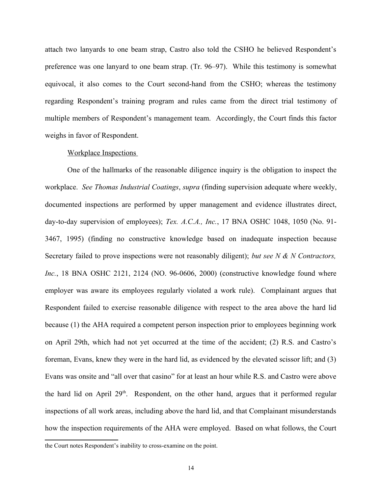attach two lanyards to one beam strap, Castro also told the CSHO he believed Respondent's preference was one lanyard to one beam strap. (Tr. 96–97). While this testimony is somewhat equivocal, it also comes to the Court second-hand from the CSHO; whereas the testimony regarding Respondent's training program and rules came from the direct trial testimony of multiple members of Respondent's management team. Accordingly, the Court finds this factor weighs in favor of Respondent.

#### Workplace Inspections

One of the hallmarks of the reasonable diligence inquiry is the obligation to inspect the workplace. *See Thomas Industrial Coatings*, *supra* (finding supervision adequate where weekly, documented inspections are performed by upper management and evidence illustrates direct, day-to-day supervision of employees); *Tex. A.C.A., Inc.*, 17 BNA OSHC 1048, 1050 (No. 91- 3467, 1995) (finding no constructive knowledge based on inadequate inspection because Secretary failed to prove inspections were not reasonably diligent); *but see N & N Contractors, Inc.*, 18 BNA OSHC 2121, 2124 (NO. 96-0606, 2000) (constructive knowledge found where employer was aware its employees regularly violated a work rule). Complainant argues that Respondent failed to exercise reasonable diligence with respect to the area above the hard lid because (1) the AHA required a competent person inspection prior to employees beginning work on April 29th, which had not yet occurred at the time of the accident; (2) R.S. and Castro's foreman, Evans, knew they were in the hard lid, as evidenced by the elevated scissor lift; and (3) Evans was onsite and "all over that casino" for at least an hour while R.S. and Castro were above the hard lid on April  $29<sup>th</sup>$ . Respondent, on the other hand, argues that it performed regular inspections of all work areas, including above the hard lid, and that Complainant misunderstands how the inspection requirements of the AHA were employed. Based on what follows, the Court

the Court notes Respondent's inability to cross-examine on the point.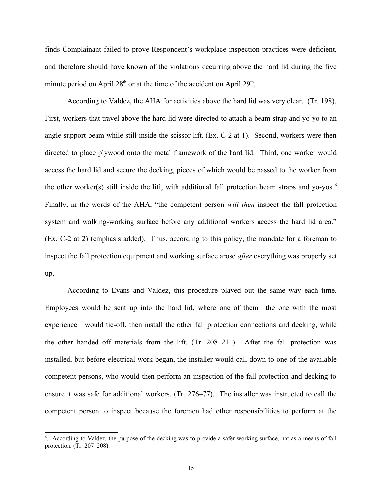finds Complainant failed to prove Respondent's workplace inspection practices were deficient, and therefore should have known of the violations occurring above the hard lid during the five minute period on April  $28<sup>th</sup>$  or at the time of the accident on April  $29<sup>th</sup>$ .

According to Valdez, the AHA for activities above the hard lid was very clear. (Tr. 198). First, workers that travel above the hard lid were directed to attach a beam strap and yo-yo to an angle support beam while still inside the scissor lift. (Ex. C-2 at 1). Second, workers were then directed to place plywood onto the metal framework of the hard lid. Third, one worker would access the hard lid and secure the decking, pieces of which would be passed to the worker from the other worker(s) still inside the lift, with additional fall protection beam straps and yo-yos. [6](#page-14-0) Finally, in the words of the AHA, "the competent person *will then* inspect the fall protection system and walking-working surface before any additional workers access the hard lid area." (Ex. C-2 at 2) (emphasis added). Thus, according to this policy, the mandate for a foreman to inspect the fall protection equipment and working surface arose *after* everything was properly set up.

According to Evans and Valdez, this procedure played out the same way each time. Employees would be sent up into the hard lid, where one of them—the one with the most experience—would tie-off, then install the other fall protection connections and decking, while the other handed off materials from the lift. (Tr. 208–211). After the fall protection was installed, but before electrical work began, the installer would call down to one of the available competent persons, who would then perform an inspection of the fall protection and decking to ensure it was safe for additional workers. (Tr. 276–77). The installer was instructed to call the competent person to inspect because the foremen had other responsibilities to perform at the

<span id="page-14-0"></span><sup>6</sup> . According to Valdez, the purpose of the decking was to provide a safer working surface, not as a means of fall protection. (Tr. 207–208).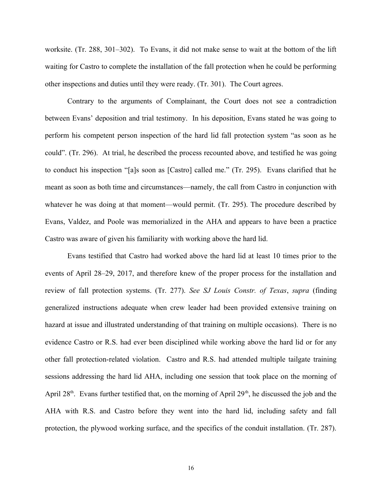worksite. (Tr. 288, 301–302). To Evans, it did not make sense to wait at the bottom of the lift waiting for Castro to complete the installation of the fall protection when he could be performing other inspections and duties until they were ready. (Tr. 301). The Court agrees.

Contrary to the arguments of Complainant, the Court does not see a contradiction between Evans' deposition and trial testimony. In his deposition, Evans stated he was going to perform his competent person inspection of the hard lid fall protection system "as soon as he could". (Tr. 296). At trial, he described the process recounted above, and testified he was going to conduct his inspection "[a]s soon as [Castro] called me." (Tr. 295). Evans clarified that he meant as soon as both time and circumstances—namely, the call from Castro in conjunction with whatever he was doing at that moment—would permit. (Tr. 295). The procedure described by Evans, Valdez, and Poole was memorialized in the AHA and appears to have been a practice Castro was aware of given his familiarity with working above the hard lid.

Evans testified that Castro had worked above the hard lid at least 10 times prior to the events of April 28–29, 2017, and therefore knew of the proper process for the installation and review of fall protection systems. (Tr. 277). *See SJ Louis Constr. of Texas*, *supra* (finding generalized instructions adequate when crew leader had been provided extensive training on hazard at issue and illustrated understanding of that training on multiple occasions). There is no evidence Castro or R.S. had ever been disciplined while working above the hard lid or for any other fall protection-related violation. Castro and R.S. had attended multiple tailgate training sessions addressing the hard lid AHA, including one session that took place on the morning of April  $28<sup>th</sup>$ . Evans further testified that, on the morning of April  $29<sup>th</sup>$ , he discussed the job and the AHA with R.S. and Castro before they went into the hard lid, including safety and fall protection, the plywood working surface, and the specifics of the conduit installation. (Tr. 287).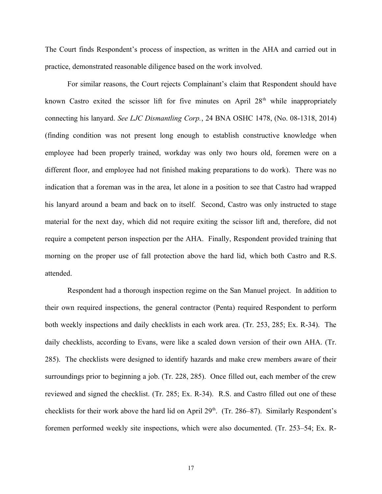The Court finds Respondent's process of inspection, as written in the AHA and carried out in practice, demonstrated reasonable diligence based on the work involved.

For similar reasons, the Court rejects Complainant's claim that Respondent should have known Castro exited the scissor lift for five minutes on April  $28<sup>th</sup>$  while inappropriately connecting his lanyard. *See LJC Dismantling Corp.*, 24 BNA OSHC 1478, (No. 08-1318, 2014) (finding condition was not present long enough to establish constructive knowledge when employee had been properly trained, workday was only two hours old, foremen were on a different floor, and employee had not finished making preparations to do work). There was no indication that a foreman was in the area, let alone in a position to see that Castro had wrapped his lanyard around a beam and back on to itself. Second, Castro was only instructed to stage material for the next day, which did not require exiting the scissor lift and, therefore, did not require a competent person inspection per the AHA. Finally, Respondent provided training that morning on the proper use of fall protection above the hard lid, which both Castro and R.S. attended.

Respondent had a thorough inspection regime on the San Manuel project. In addition to their own required inspections, the general contractor (Penta) required Respondent to perform both weekly inspections and daily checklists in each work area. (Tr. 253, 285; Ex. R-34). The daily checklists, according to Evans, were like a scaled down version of their own AHA. (Tr. 285). The checklists were designed to identify hazards and make crew members aware of their surroundings prior to beginning a job. (Tr. 228, 285). Once filled out, each member of the crew reviewed and signed the checklist. (Tr. 285; Ex. R-34). R.S. and Castro filled out one of these checklists for their work above the hard lid on April 29<sup>th</sup>. (Tr. 286–87). Similarly Respondent's foremen performed weekly site inspections, which were also documented. (Tr. 253–54; Ex. R-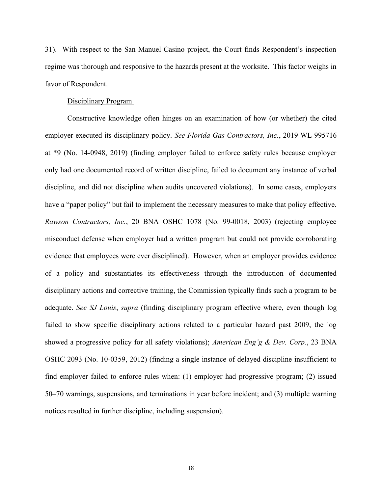31). With respect to the San Manuel Casino project, the Court finds Respondent's inspection regime was thorough and responsive to the hazards present at the worksite. This factor weighs in favor of Respondent.

# Disciplinary Program

Constructive knowledge often hinges on an examination of how (or whether) the cited employer executed its disciplinary policy. *See Florida Gas Contractors, Inc.*, 2019 WL 995716 at \*9 (No. 14-0948, 2019) (finding employer failed to enforce safety rules because employer only had one documented record of written discipline, failed to document any instance of verbal discipline, and did not discipline when audits uncovered violations). In some cases, employers have a "paper policy" but fail to implement the necessary measures to make that policy effective. *Rawson Contractors, Inc.*, 20 BNA OSHC 1078 (No. 99-0018, 2003) (rejecting employee misconduct defense when employer had a written program but could not provide corroborating evidence that employees were ever disciplined). However, when an employer provides evidence of a policy and substantiates its effectiveness through the introduction of documented disciplinary actions and corrective training, the Commission typically finds such a program to be adequate. *See SJ Louis*, *supra* (finding disciplinary program effective where, even though log failed to show specific disciplinary actions related to a particular hazard past 2009, the log showed a progressive policy for all safety violations); *American Eng'g & Dev. Corp.*, 23 BNA OSHC 2093 (No. 10-0359, 2012) (finding a single instance of delayed discipline insufficient to find employer failed to enforce rules when: (1) employer had progressive program; (2) issued 50–70 warnings, suspensions, and terminations in year before incident; and (3) multiple warning notices resulted in further discipline, including suspension).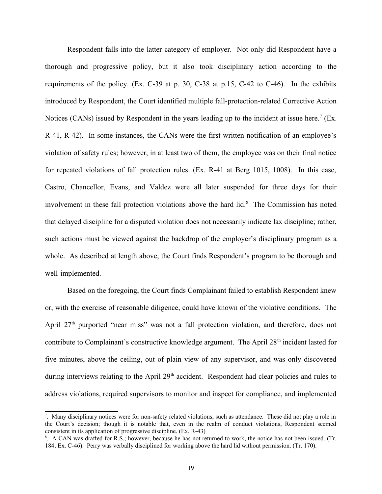Respondent falls into the latter category of employer. Not only did Respondent have a thorough and progressive policy, but it also took disciplinary action according to the requirements of the policy. (Ex. C-39 at p. 30, C-38 at p.15, C-42 to C-46). In the exhibits introduced by Respondent, the Court identified multiple fall-protection-related Corrective Action Notices (CANs) issued by Respondent in the years leading up to the incident at issue here.<sup>[7](#page-18-0)</sup> (Ex. R-41, R-42). In some instances, the CANs were the first written notification of an employee's violation of safety rules; however, in at least two of them, the employee was on their final notice for repeated violations of fall protection rules. (Ex. R-41 at Berg 1015, 1008). In this case, Castro, Chancellor, Evans, and Valdez were all later suspended for three days for their involvement in these fall protection violations above the hard lid. $<sup>8</sup>$  $<sup>8</sup>$  $<sup>8</sup>$  The Commission has noted</sup> that delayed discipline for a disputed violation does not necessarily indicate lax discipline; rather, such actions must be viewed against the backdrop of the employer's disciplinary program as a whole. As described at length above, the Court finds Respondent's program to be thorough and well-implemented.

Based on the foregoing, the Court finds Complainant failed to establish Respondent knew or, with the exercise of reasonable diligence, could have known of the violative conditions. The April  $27<sup>th</sup>$  purported "near miss" was not a fall protection violation, and therefore, does not contribute to Complainant's constructive knowledge argument. The April  $28<sup>th</sup>$  incident lasted for five minutes, above the ceiling, out of plain view of any supervisor, and was only discovered during interviews relating to the April 29<sup>th</sup> accident. Respondent had clear policies and rules to address violations, required supervisors to monitor and inspect for compliance, and implemented

<span id="page-18-0"></span><sup>7</sup> . Many disciplinary notices were for non-safety related violations, such as attendance. These did not play a role in the Court's decision; though it is notable that, even in the realm of conduct violations, Respondent seemed consistent in its application of progressive discipline. (Ex. R-43)

<span id="page-18-1"></span><sup>8</sup> . A CAN was drafted for R.S.; however, because he has not returned to work, the notice has not been issued. (Tr. 184; Ex. C-46). Perry was verbally disciplined for working above the hard lid without permission. (Tr. 170).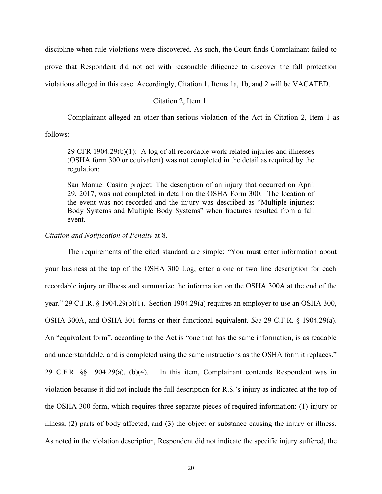discipline when rule violations were discovered. As such, the Court finds Complainant failed to prove that Respondent did not act with reasonable diligence to discover the fall protection violations alleged in this case. Accordingly, Citation 1, Items 1a, 1b, and 2 will be VACATED.

# Citation 2, Item 1

Complainant alleged an other-than-serious violation of the Act in Citation 2, Item 1 as

follows:

29 CFR 1904.29(b) $(1)$ : A log of all recordable work-related injuries and illnesses (OSHA form 300 or equivalent) was not completed in the detail as required by the regulation:

San Manuel Casino project: The description of an injury that occurred on April 29, 2017, was not completed in detail on the OSHA Form 300. The location of the event was not recorded and the injury was described as "Multiple injuries: Body Systems and Multiple Body Systems" when fractures resulted from a fall event.

#### *Citation and Notification of Penalty* at 8.

The requirements of the cited standard are simple: "You must enter information about your business at the top of the OSHA 300 Log, enter a one or two line description for each recordable injury or illness and summarize the information on the OSHA 300A at the end of the year." 29 C.F.R. § 1904.29(b)(1). Section 1904.29(a) requires an employer to use an OSHA 300, OSHA 300A, and OSHA 301 forms or their functional equivalent. *See* 29 C.F.R. § 1904.29(a). An "equivalent form", according to the Act is "one that has the same information, is as readable and understandable, and is completed using the same instructions as the OSHA form it replaces." 29 C.F.R. §§ 1904.29(a), (b)(4). In this item, Complainant contends Respondent was in violation because it did not include the full description for R.S.'s injury as indicated at the top of the OSHA 300 form, which requires three separate pieces of required information: (1) injury or illness, (2) parts of body affected, and (3) the object or substance causing the injury or illness. As noted in the violation description, Respondent did not indicate the specific injury suffered, the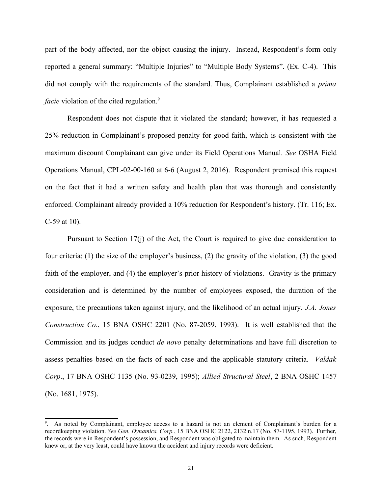part of the body affected, nor the object causing the injury. Instead, Respondent's form only reported a general summary: "Multiple Injuries" to "Multiple Body Systems". (Ex. C-4). This did not comply with the requirements of the standard. Thus, Complainant established a *prima facie* violation of the cited regulation.<sup>[9](#page-20-0)</sup>

Respondent does not dispute that it violated the standard; however, it has requested a 25% reduction in Complainant's proposed penalty for good faith, which is consistent with the maximum discount Complainant can give under its Field Operations Manual. *See* OSHA Field Operations Manual, CPL-02-00-160 at 6-6 (August 2, 2016). Respondent premised this request on the fact that it had a written safety and health plan that was thorough and consistently enforced. Complainant already provided a 10% reduction for Respondent's history. (Tr. 116; Ex. C-59 at 10).

Pursuant to Section 17(j) of the Act, the Court is required to give due consideration to four criteria: (1) the size of the employer's business, (2) the gravity of the violation, (3) the good faith of the employer, and (4) the employer's prior history of violations. Gravity is the primary consideration and is determined by the number of employees exposed, the duration of the exposure, the precautions taken against injury, and the likelihood of an actual injury. *J.A. Jones Construction Co.*, 15 BNA OSHC 2201 (No. 87-2059, 1993). It is well established that the Commission and its judges conduct *de novo* penalty determinations and have full discretion to assess penalties based on the facts of each case and the applicable statutory criteria. *Valdak Corp*., 17 BNA OSHC 1135 (No. 93-0239, 1995); *Allied Structural Steel*, 2 BNA OSHC 1457 (No. 1681, 1975).

<span id="page-20-0"></span><sup>9</sup> . As noted by Complainant, employee access to a hazard is not an element of Complainant's burden for a recordkeeping violation. *See Gen. Dynamics. Corp.*, 15 BNA OSHC 2122, 2132 n.17 (No. 87-1195, 1993). Further, the records were in Respondent's possession, and Respondent was obligated to maintain them. As such, Respondent knew or, at the very least, could have known the accident and injury records were deficient.